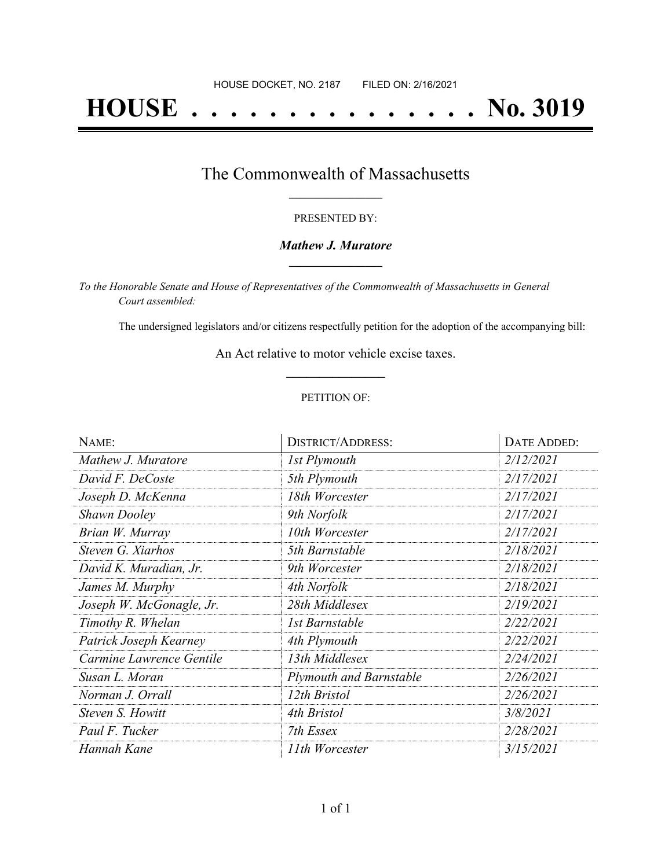# **HOUSE . . . . . . . . . . . . . . . No. 3019**

## The Commonwealth of Massachusetts **\_\_\_\_\_\_\_\_\_\_\_\_\_\_\_\_\_**

#### PRESENTED BY:

#### *Mathew J. Muratore* **\_\_\_\_\_\_\_\_\_\_\_\_\_\_\_\_\_**

*To the Honorable Senate and House of Representatives of the Commonwealth of Massachusetts in General Court assembled:*

The undersigned legislators and/or citizens respectfully petition for the adoption of the accompanying bill:

An Act relative to motor vehicle excise taxes. **\_\_\_\_\_\_\_\_\_\_\_\_\_\_\_**

#### PETITION OF:

| NAME:                    | <b>DISTRICT/ADDRESS:</b>       | DATE ADDED: |
|--------------------------|--------------------------------|-------------|
| Mathew J. Muratore       | 1st Plymouth                   | 2/12/2021   |
| David F. DeCoste         | 5th Plymouth                   | 2/17/2021   |
| Joseph D. McKenna        | 18th Worcester                 | 2/17/2021   |
| <b>Shawn Dooley</b>      | 9th Norfolk                    | 2/17/2021   |
| Brian W. Murray          | 10th Worcester                 | 2/17/2021   |
| Steven G. Xiarhos        | 5th Barnstable                 | 2/18/2021   |
| David K. Muradian, Jr.   | 9th Worcester                  | 2/18/2021   |
| James M. Murphy          | 4th Norfolk                    | 2/18/2021   |
| Joseph W. McGonagle, Jr. | 28th Middlesex                 | 2/19/2021   |
| Timothy R. Whelan        | 1st Barnstable                 | 2/22/2021   |
| Patrick Joseph Kearney   | 4th Plymouth                   | 2/22/2021   |
| Carmine Lawrence Gentile | 13th Middlesex                 | 2/24/2021   |
| Susan L. Moran           | <b>Plymouth and Barnstable</b> | 2/26/2021   |
| Norman J. Orrall         | 12th Bristol                   | 2/26/2021   |
| Steven S. Howitt         | 4th Bristol                    | 3/8/2021    |
| Paul F. Tucker           | 7th Essex                      | 2/28/2021   |
| Hannah Kane              | 11th Worcester                 | 3/15/2021   |